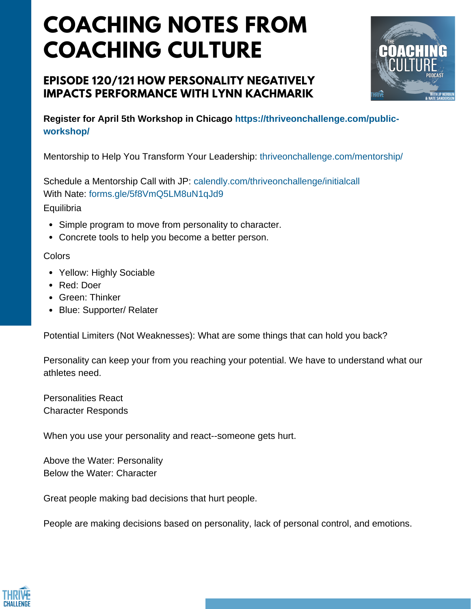# **COACHING NOTES FROM COACHING CULTURE**

### **EPISODE 120/121 HOW PERSONALITY NEGATIVELY IMPACTS PERFORMANCE WITH LYNN KACHMARIK**



**Register for April 5th Workshop in Chicago https://thriveonchallenge.com/publicworkshop/**

Mentorship to Help You Transform Your Leadership: thriveonchallenge.com/mentorship/

Schedule a Mentorship Call with JP: calendly.com/thriveonchallenge/initialcall With Nate: forms.gle/5f8VmQ5LM8uN1qJd9 **Equilibria** 

- Simple program to move from personality to character.
- Concrete tools to help you become a better person.

#### **Colors**

- Yellow: Highly Sociable
- Red: Doer
- Green: Thinker
- Blue: Supporter/ Relater

Potential Limiters (Not Weaknesses): What are some things that can hold you back?

Personality can keep your from you reaching your potential. We have to understand what our athletes need.

Personalities React Character Responds

When you use your personality and react--someone gets hurt.

Above the Water: Personality Below the Water: Character

Great people making bad decisions that hurt people.

People are making decisions based on personality, lack of personal control, and emotions.